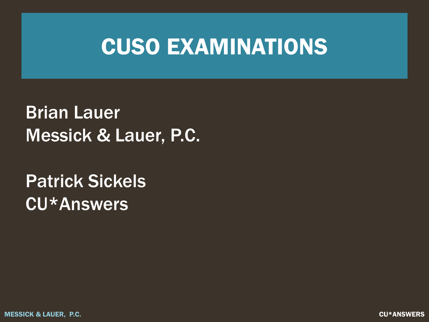#### CUSO EXAMINATIONS

Brian Lauer Messick & Lauer, P.C.

Patrick Sickels CU\*Answers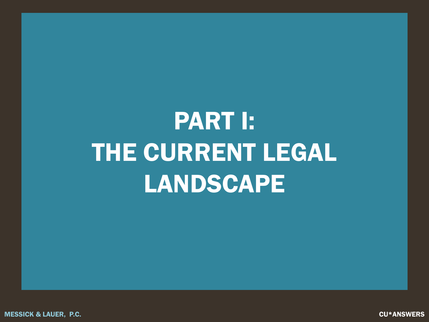# PART I: THE CURRENT LEGAL **LANDSCAPE**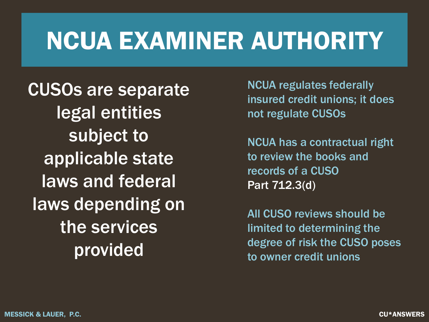## NCUA EXAMINER AUTHORITY

CUSOs are separate legal entities subject to applicable state laws and federal laws depending on the services provided

NCUA regulates federally insured credit unions; it does not regulate CUSOs

NCUA has a contractual right to review the books and records of a CUSO Part 712.3(d)

All CUSO reviews should be limited to determining the degree of risk the CUSO poses to owner credit unions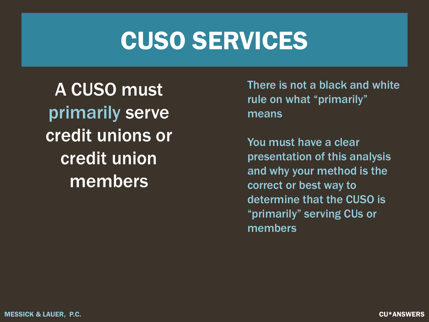#### CUSO SERVICES

A CUSO must primarily serve credit unions or credit union members

There is not a black and white rule on what "primarily" means

You must have a clear presentation of this analysis and why your method is the correct or best way to determine that the CUSO is "primarily" serving CUs or members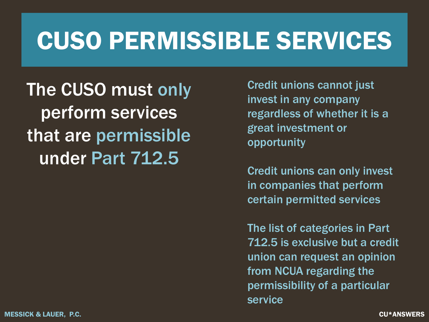## CUSO PERMISSIBLE SERVICES

The CUSO must only perform services that are permissible under Part 712.5

Credit unions cannot just invest in any company regardless of whether it is a great investment or opportunity

Credit unions can only invest in companies that perform certain permitted services

The list of categories in Part 712.5 is exclusive but a credit union can request an opinion from NCUA regarding the permissibility of a particular service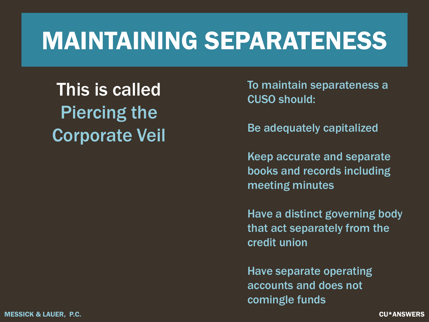## MAINTAINING SEPARATENESS

This is called Piercing the Corporate Veil To maintain separateness a CUSO should:

Be adequately capitalized

Keep accurate and separate books and records including meeting minutes

Have a distinct governing body that act separately from the credit union

Have separate operating accounts and does not comingle funds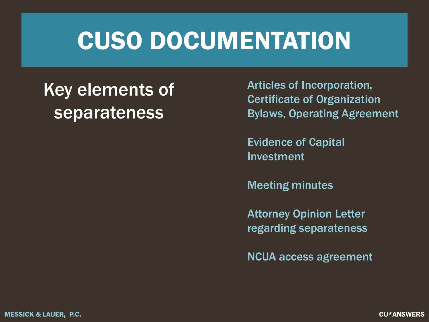#### CUSO DOCUMENTATION

#### Key elements of separateness

Articles of Incorporation, Certificate of Organization Bylaws, Operating Agreement

Evidence of Capital Investment

Meeting minutes

Attorney Opinion Letter regarding separateness

NCUA access agreement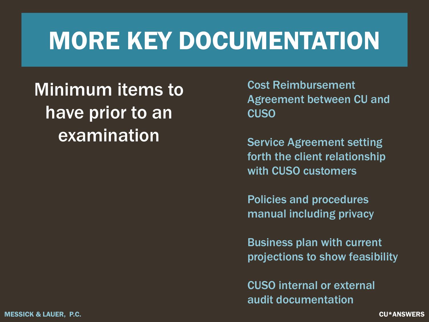#### MORE KEY DOCUMENTATION

Minimum items to have prior to an examination

Cost Reimbursement Agreement between CU and CUSO

Service Agreement setting forth the client relationship with CUSO customers

Policies and procedures manual including privacy

Business plan with current projections to show feasibility

CUSO internal or external audit documentation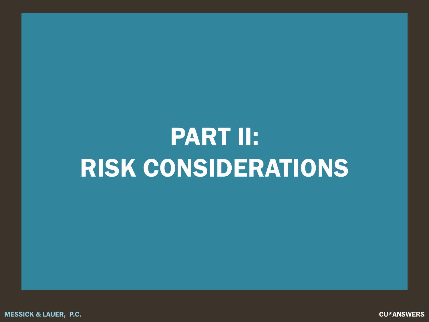## PART II: RISK CONSIDERATIONS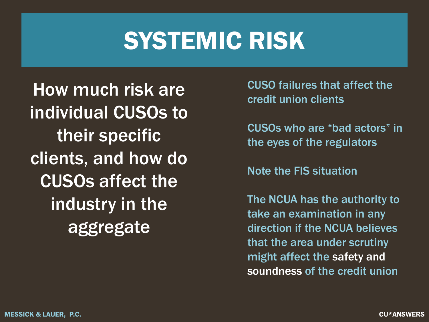## SYSTEMIC RISK

How much risk are individual CUSOs to their specific clients, and how do CUSOs affect the industry in the aggregate

CUSO failures that affect the credit union clients

CUSOs who are "bad actors" in the eyes of the regulators

Note the FIS situation

The NCUA has the authority to take an examination in any direction if the NCUA believes that the area under scrutiny might affect the safety and soundness of the credit union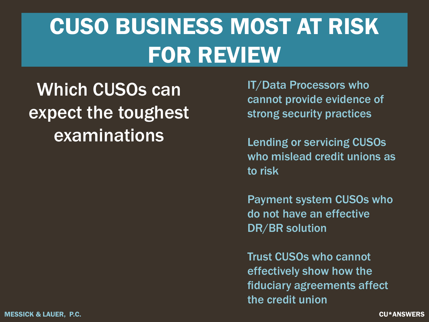#### CUSO BUSINESS MOST AT RISK FOR REVIEW

Which CUSOs can expect the toughest examinations

IT/Data Processors who cannot provide evidence of strong security practices

Lending or servicing CUSOs who mislead credit unions as to risk

Payment system CUSOs who do not have an effective DR/BR solution

Trust CUSOs who cannot effectively show how the fiduciary agreements affect the credit union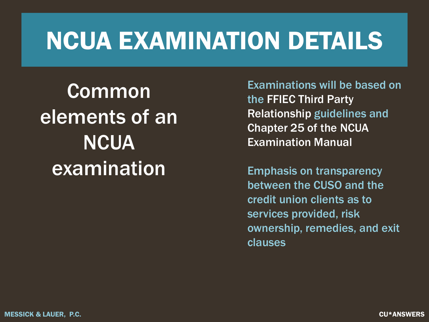## NCUA EXAMINATION DETAILS

Common elements of an **NCUA** examination

Examinations will be based on the FFIEC Third Party Relationship guidelines and Chapter 25 of the NCUA Examination Manual

Emphasis on transparency between the CUSO and the credit union clients as to services provided, risk ownership, remedies, and exit clauses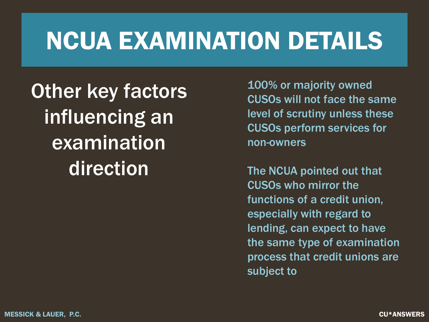## NCUA EXAMINATION DETAILS

Other key factors influencing an examination direction

100% or majority owned CUSOs will not face the same level of scrutiny unless these CUSOs perform services for non-owners

The NCUA pointed out that CUSOs who mirror the functions of a credit union, especially with regard to lending, can expect to have the same type of examination process that credit unions are subject to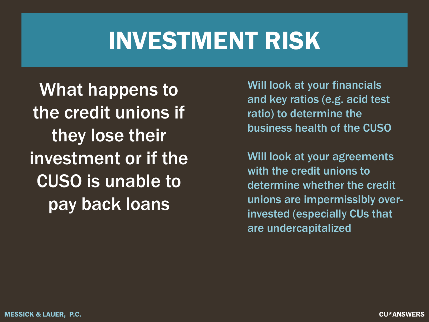### INVESTMENT RISK

What happens to the credit unions if they lose their investment or if the CUSO is unable to pay back loans

Will look at your financials and key ratios (e.g. acid test ratio) to determine the business health of the CUSO

Will look at your agreements with the credit unions to determine whether the credit unions are impermissibly overinvested (especially CUs that are undercapitalized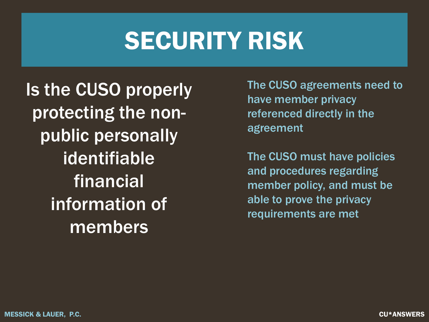## SECURITY RISK

Is the CUSO properly protecting the nonpublic personally identifiable financial information of members

The CUSO agreements need to have member privacy referenced directly in the agreement

The CUSO must have policies and procedures regarding member policy, and must be able to prove the privacy requirements are met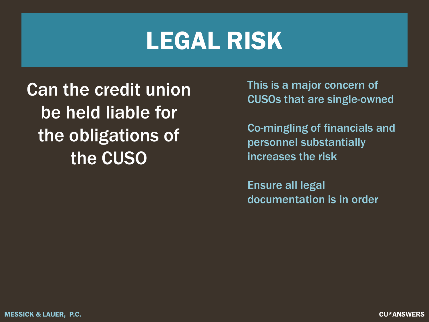#### LEGAL RISK

Can the credit union be held liable for the obligations of the CUSO

This is a major concern of CUSOs that are single-owned

Co-mingling of financials and personnel substantially increases the risk

Ensure all legal documentation is in order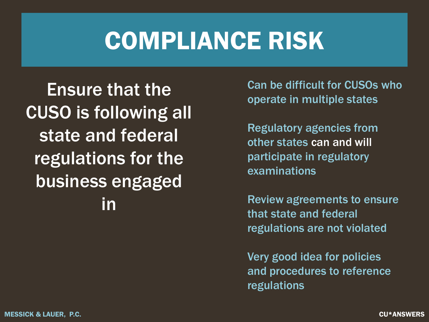## COMPLIANCE RISK

Ensure that the CUSO is following all state and federal regulations for the business engaged in

Can be difficult for CUSOs who operate in multiple states

Regulatory agencies from other states can and will participate in regulatory examinations

Review agreements to ensure that state and federal regulations are not violated

Very good idea for policies and procedures to reference regulations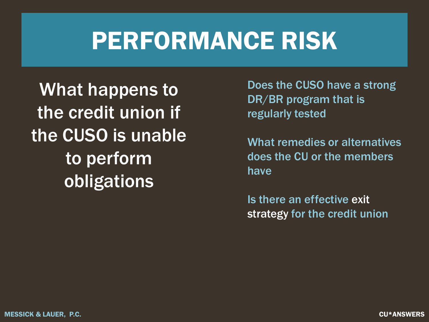#### PERFORMANCE RISK

What happens to the credit union if the CUSO is unable to perform obligations

Does the CUSO have a strong DR/BR program that is regularly tested

What remedies or alternatives does the CU or the members have

Is there an effective exit strategy for the credit union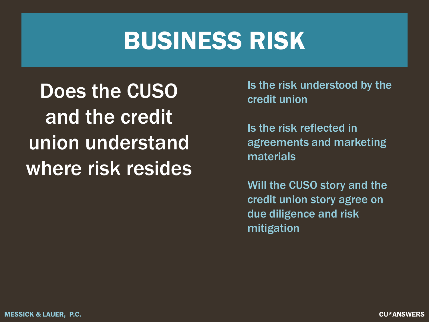#### BUSINESS RISK

Does the CUSO and the credit union understand where risk resides Is the risk understood by the credit union

Is the risk reflected in agreements and marketing materials

Will the CUSO story and the credit union story agree on due diligence and risk mitigation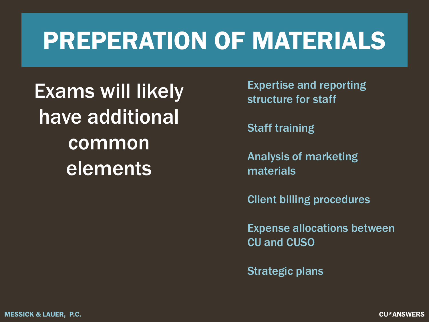## PREPERATION OF MATERIALS

Exams will likely have additional common elements

Expertise and reporting structure for staff

**Staff training** 

Analysis of marketing materials

Client billing procedures

Expense allocations between CU and CUSO

Strategic plans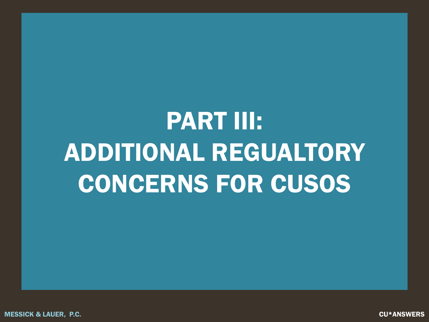# PART III: ADDITIONAL REGUALTORY CONCERNS FOR CUSOS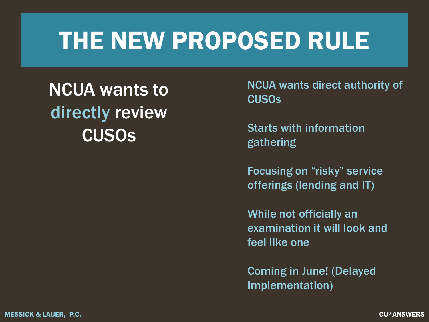## THE NEW PROPOSED RULE

NCUA wants to directly review CUSOs

NCUA wants direct authority of CUSOs

Starts with information gathering

Focusing on "risky" service offerings (lending and IT)

While not officially an examination it will look and feel like one

Coming in June! (Delayed Implementation)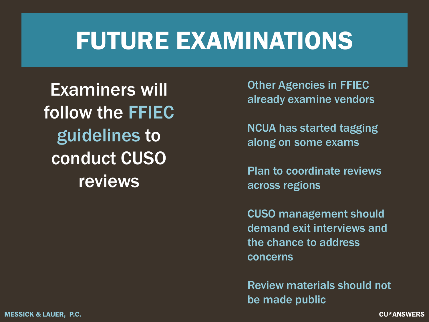## FUTURE EXAMINATIONS

Examiners will follow the FFIEC guidelines to conduct CUSO reviews

Other Agencies in FFIEC already examine vendors

NCUA has started tagging along on some exams

Plan to coordinate reviews across regions

CUSO management should demand exit interviews and the chance to address concerns

Review materials should not be made public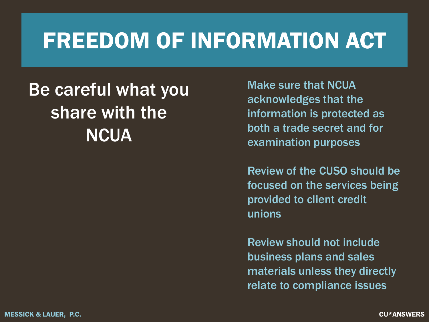#### FREEDOM OF INFORMATION ACT

#### Be careful what you share with the **NCUA**

Make sure that NCUA acknowledges that the information is protected as both a trade secret and for examination purposes

Review of the CUSO should be focused on the services being provided to client credit unions

Review should not include business plans and sales materials unless they directly relate to compliance issues